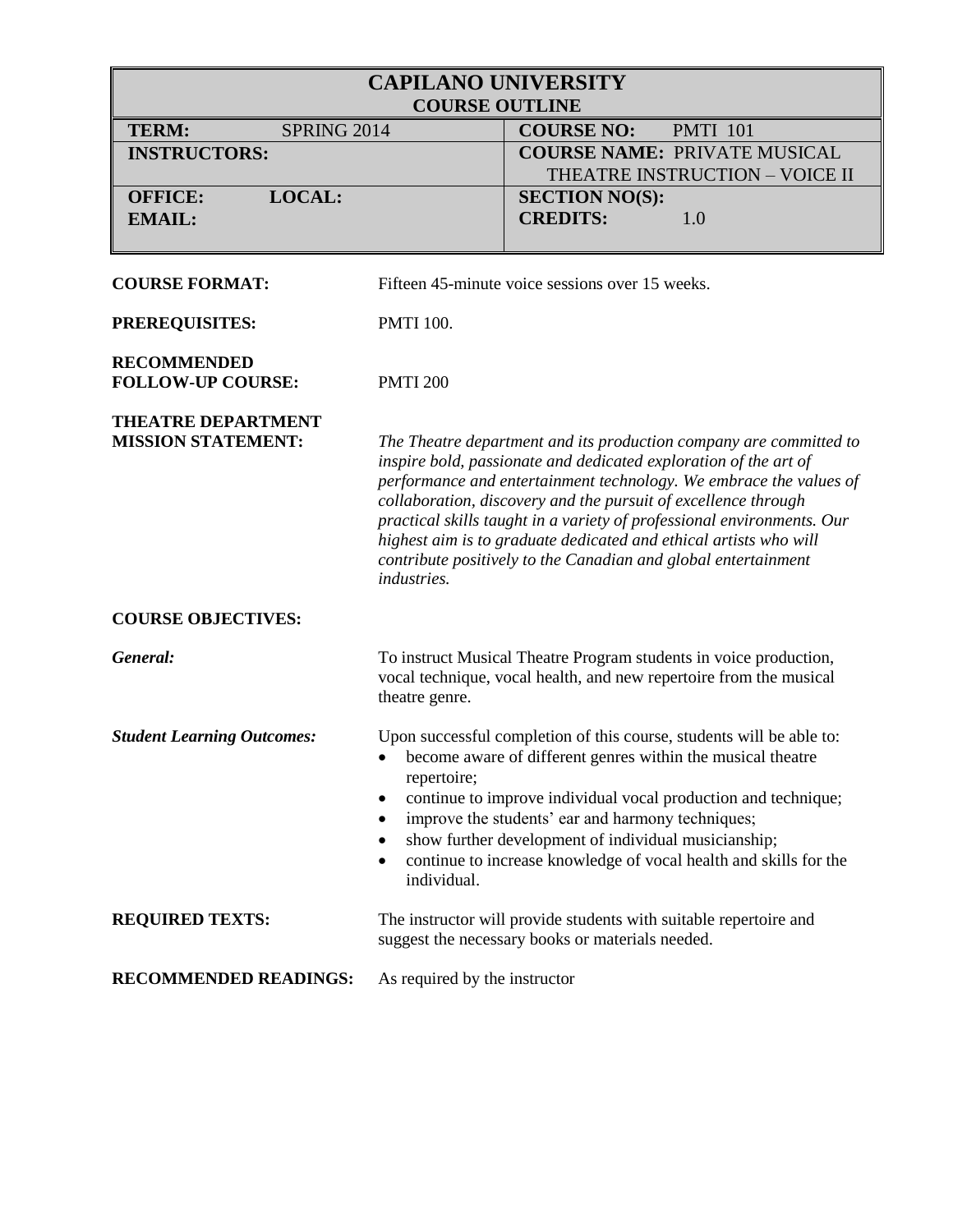| <b>CAPILANO UNIVERSITY</b><br><b>COURSE OUTLINE</b>    |                                                                                                                                                                                                                                                                                                                                                                                                                                                                                                                |  |
|--------------------------------------------------------|----------------------------------------------------------------------------------------------------------------------------------------------------------------------------------------------------------------------------------------------------------------------------------------------------------------------------------------------------------------------------------------------------------------------------------------------------------------------------------------------------------------|--|
| <b>TERM:</b><br><b>SPRING 2014</b>                     | <b>COURSE NO:</b><br><b>PMTI 101</b>                                                                                                                                                                                                                                                                                                                                                                                                                                                                           |  |
| <b>INSTRUCTORS:</b>                                    | <b>COURSE NAME: PRIVATE MUSICAL</b><br>THEATRE INSTRUCTION - VOICE II                                                                                                                                                                                                                                                                                                                                                                                                                                          |  |
| LOCAL:<br><b>OFFICE:</b><br><b>EMAIL:</b>              | <b>SECTION NO(S):</b><br><b>CREDITS:</b><br>1.0                                                                                                                                                                                                                                                                                                                                                                                                                                                                |  |
| <b>COURSE FORMAT:</b>                                  | Fifteen 45-minute voice sessions over 15 weeks.                                                                                                                                                                                                                                                                                                                                                                                                                                                                |  |
| PREREQUISITES:                                         | <b>PMTI 100.</b>                                                                                                                                                                                                                                                                                                                                                                                                                                                                                               |  |
| <b>RECOMMENDED</b><br><b>FOLLOW-UP COURSE:</b>         | <b>PMTI 200</b>                                                                                                                                                                                                                                                                                                                                                                                                                                                                                                |  |
| <b>THEATRE DEPARTMENT</b><br><b>MISSION STATEMENT:</b> | The Theatre department and its production company are committed to<br>inspire bold, passionate and dedicated exploration of the art of<br>performance and entertainment technology. We embrace the values of<br>collaboration, discovery and the pursuit of excellence through<br>practical skills taught in a variety of professional environments. Our<br>highest aim is to graduate dedicated and ethical artists who will<br>contribute positively to the Canadian and global entertainment<br>industries. |  |
| <b>COURSE OBJECTIVES:</b>                              |                                                                                                                                                                                                                                                                                                                                                                                                                                                                                                                |  |
| General:                                               | To instruct Musical Theatre Program students in voice production,<br>vocal technique, vocal health, and new repertoire from the musical<br>theatre genre.                                                                                                                                                                                                                                                                                                                                                      |  |
| <b>Student Learning Outcomes:</b>                      | Upon successful completion of this course, students will be able to:<br>• become aware of different genres within the musical theatre<br>repertoire;<br>continue to improve individual vocal production and technique;<br>٠<br>improve the students' ear and harmony techniques;<br>show further development of individual musicianship;<br>continue to increase knowledge of vocal health and skills for the<br>individual.                                                                                   |  |
| <b>REQUIRED TEXTS:</b>                                 | The instructor will provide students with suitable repertoire and<br>suggest the necessary books or materials needed.                                                                                                                                                                                                                                                                                                                                                                                          |  |
| <b>RECOMMENDED READINGS:</b>                           | As required by the instructor                                                                                                                                                                                                                                                                                                                                                                                                                                                                                  |  |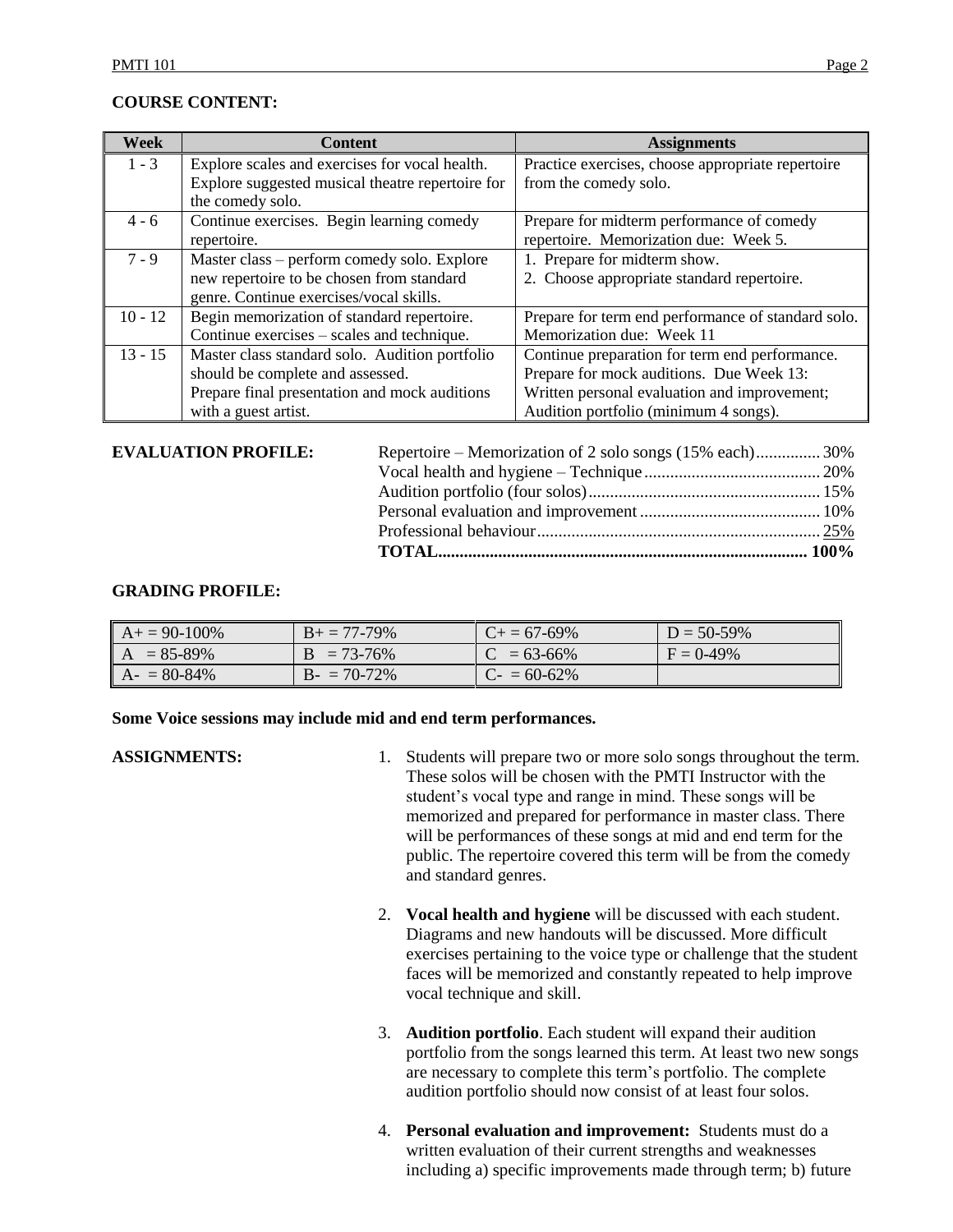## **COURSE CONTENT:**

| Week      | <b>Content</b>                                   | <b>Assignments</b>                                 |
|-----------|--------------------------------------------------|----------------------------------------------------|
| $1 - 3$   | Explore scales and exercises for vocal health.   | Practice exercises, choose appropriate repertoire  |
|           | Explore suggested musical theatre repertoire for | from the comedy solo.                              |
|           | the comedy solo.                                 |                                                    |
| $4 - 6$   | Continue exercises. Begin learning comedy        | Prepare for midterm performance of comedy          |
|           | repertoire.                                      | repertoire. Memorization due: Week 5.              |
| $7 - 9$   | Master class – perform comedy solo. Explore      | 1. Prepare for midterm show.                       |
|           | new repertoire to be chosen from standard        | 2. Choose appropriate standard repertoire.         |
|           | genre. Continue exercises/vocal skills.          |                                                    |
| $10 - 12$ | Begin memorization of standard repertoire.       | Prepare for term end performance of standard solo. |
|           | Continue exercises – scales and technique.       | Memorization due: Week 11                          |
| $13 - 15$ | Master class standard solo. Audition portfolio   | Continue preparation for term end performance.     |
|           | should be complete and assessed.                 | Prepare for mock auditions. Due Week 13:           |
|           | Prepare final presentation and mock auditions    | Written personal evaluation and improvement;       |
|           | with a guest artist.                             | Audition portfolio (minimum 4 songs).              |

#### **EVALUATION PROFILE:**

| <b>EVALUATION PROFILE:</b> | Repertoire – Memorization of 2 solo songs (15% each)30% |  |
|----------------------------|---------------------------------------------------------|--|
|                            |                                                         |  |
|                            |                                                         |  |
|                            |                                                         |  |
|                            |                                                         |  |
|                            |                                                         |  |
|                            |                                                         |  |

#### **GRADING PROFILE:**

| $A+ = 90-100\%$ | $B_+ = 77-79\%$ | $C_{+} = 67 - 69\%$ | $D = 50-59\%$ |
|-----------------|-----------------|---------------------|---------------|
| $A = 85-89\%$   | $B = 73-76%$    | $C = 63-66\%$       | $F = 0.49\%$  |
| $A - 80-84\%$   | $B - 70-72%$    | $C - 60 - 62\%$     |               |

#### **Some Voice sessions may include mid and end term performances.**

- **ASSIGNMENTS:** 1. Students will prepare two or more solo songs throughout the term. These solos will be chosen with the PMTI Instructor with the student's vocal type and range in mind. These songs will be memorized and prepared for performance in master class. There will be performances of these songs at mid and end term for the public. The repertoire covered this term will be from the comedy and standard genres.
	- 2. **Vocal health and hygiene** will be discussed with each student. Diagrams and new handouts will be discussed. More difficult exercises pertaining to the voice type or challenge that the student faces will be memorized and constantly repeated to help improve vocal technique and skill.
	- 3. **Audition portfolio**. Each student will expand their audition portfolio from the songs learned this term. At least two new songs are necessary to complete this term's portfolio. The complete audition portfolio should now consist of at least four solos.
	- 4. **Personal evaluation and improvement:** Students must do a written evaluation of their current strengths and weaknesses including a) specific improvements made through term; b) future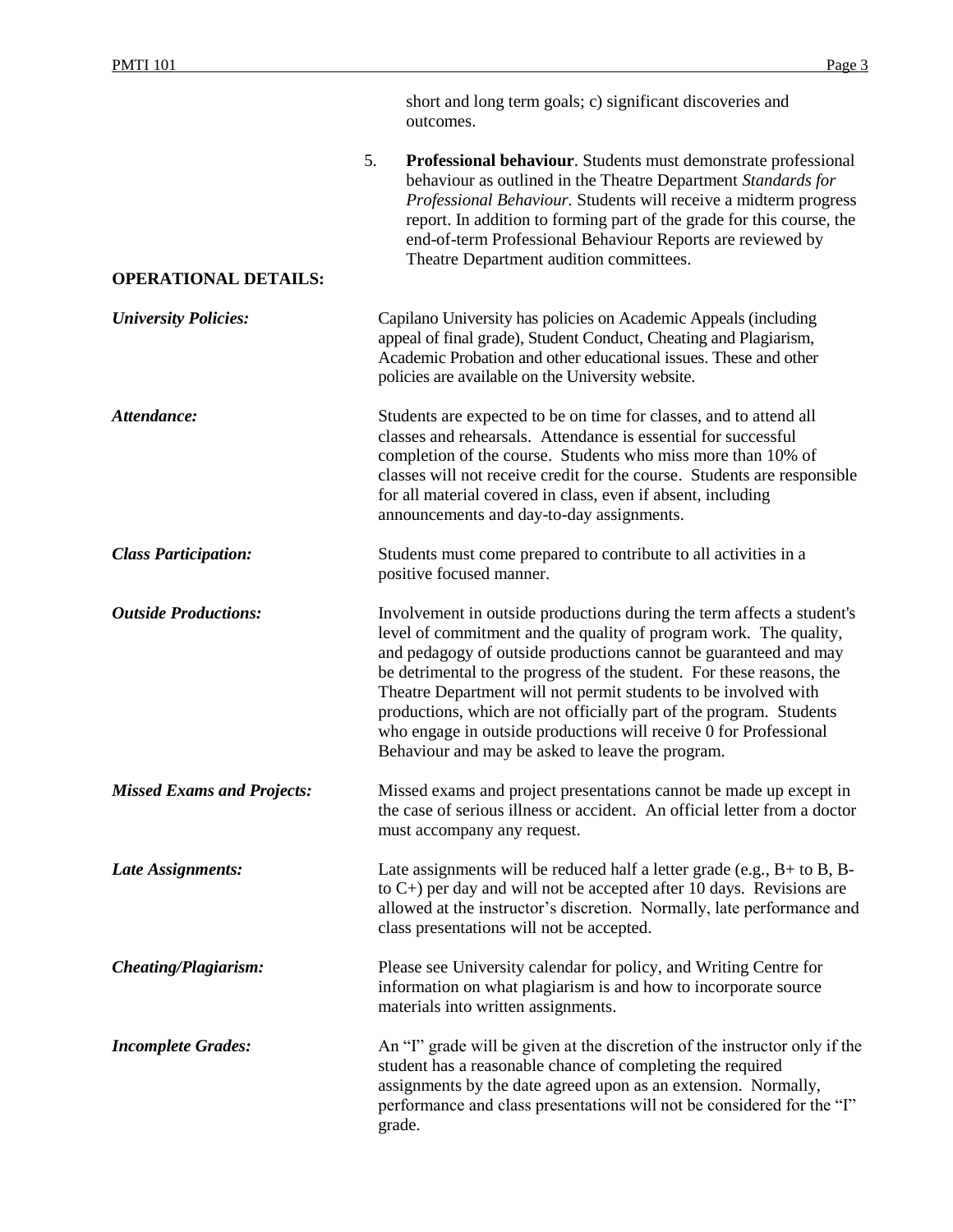|                                   |    | short and long term goals; c) significant discoveries and<br>outcomes.                                                                                                                                                                                                                                                                                                                                                                                                                                                                                      |
|-----------------------------------|----|-------------------------------------------------------------------------------------------------------------------------------------------------------------------------------------------------------------------------------------------------------------------------------------------------------------------------------------------------------------------------------------------------------------------------------------------------------------------------------------------------------------------------------------------------------------|
| <b>OPERATIONAL DETAILS:</b>       | 5. | Professional behaviour. Students must demonstrate professional<br>behaviour as outlined in the Theatre Department Standards for<br>Professional Behaviour. Students will receive a midterm progress<br>report. In addition to forming part of the grade for this course, the<br>end-of-term Professional Behaviour Reports are reviewed by<br>Theatre Department audition committees.                                                                                                                                                                       |
|                                   |    |                                                                                                                                                                                                                                                                                                                                                                                                                                                                                                                                                             |
| <b>University Policies:</b>       |    | Capilano University has policies on Academic Appeals (including<br>appeal of final grade), Student Conduct, Cheating and Plagiarism,<br>Academic Probation and other educational issues. These and other<br>policies are available on the University website.                                                                                                                                                                                                                                                                                               |
| Attendance:                       |    | Students are expected to be on time for classes, and to attend all<br>classes and rehearsals. Attendance is essential for successful<br>completion of the course. Students who miss more than 10% of<br>classes will not receive credit for the course. Students are responsible<br>for all material covered in class, even if absent, including<br>announcements and day-to-day assignments.                                                                                                                                                               |
| <b>Class Participation:</b>       |    | Students must come prepared to contribute to all activities in a<br>positive focused manner.                                                                                                                                                                                                                                                                                                                                                                                                                                                                |
| <b>Outside Productions:</b>       |    | Involvement in outside productions during the term affects a student's<br>level of commitment and the quality of program work. The quality,<br>and pedagogy of outside productions cannot be guaranteed and may<br>be detrimental to the progress of the student. For these reasons, the<br>Theatre Department will not permit students to be involved with<br>productions, which are not officially part of the program. Students<br>who engage in outside productions will receive 0 for Professional<br>Behaviour and may be asked to leave the program. |
| <b>Missed Exams and Projects:</b> |    | Missed exams and project presentations cannot be made up except in<br>the case of serious illness or accident. An official letter from a doctor<br>must accompany any request.                                                                                                                                                                                                                                                                                                                                                                              |
| Late Assignments:                 |    | Late assignments will be reduced half a letter grade (e.g., $B+$ to $B$ , $B-$<br>to $C$ +) per day and will not be accepted after 10 days. Revisions are<br>allowed at the instructor's discretion. Normally, late performance and<br>class presentations will not be accepted.                                                                                                                                                                                                                                                                            |
| <b>Cheating/Plagiarism:</b>       |    | Please see University calendar for policy, and Writing Centre for<br>information on what plagiarism is and how to incorporate source<br>materials into written assignments.                                                                                                                                                                                                                                                                                                                                                                                 |
| <b>Incomplete Grades:</b>         |    | An "I" grade will be given at the discretion of the instructor only if the<br>student has a reasonable chance of completing the required<br>assignments by the date agreed upon as an extension. Normally,<br>performance and class presentations will not be considered for the "I"<br>grade.                                                                                                                                                                                                                                                              |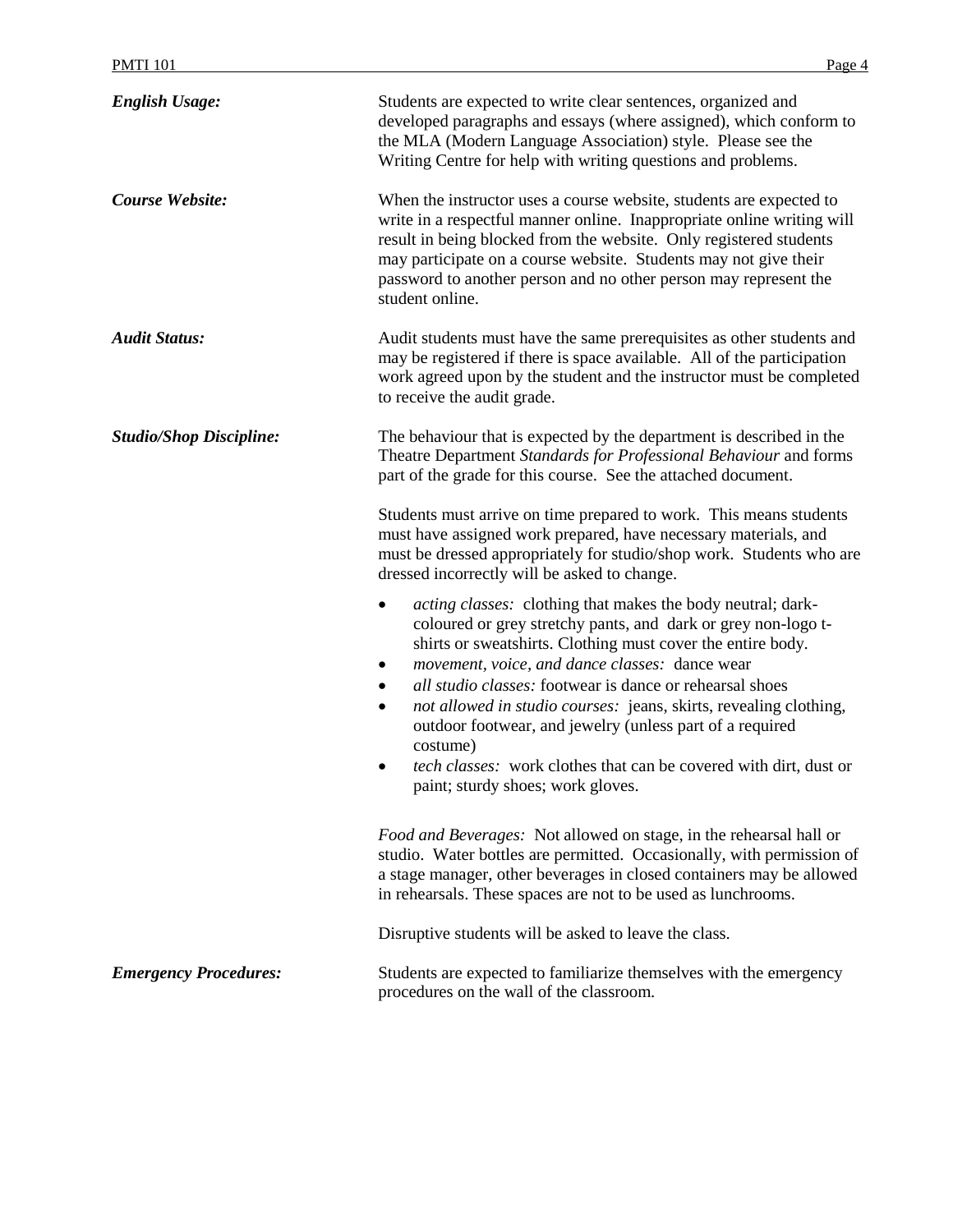| <b>PMTI 101</b>                | Page 4                                                                                                                                                                                                                                                                                                                                                                                                                                                                                                                                                                                             |
|--------------------------------|----------------------------------------------------------------------------------------------------------------------------------------------------------------------------------------------------------------------------------------------------------------------------------------------------------------------------------------------------------------------------------------------------------------------------------------------------------------------------------------------------------------------------------------------------------------------------------------------------|
| <b>English Usage:</b>          | Students are expected to write clear sentences, organized and<br>developed paragraphs and essays (where assigned), which conform to<br>the MLA (Modern Language Association) style. Please see the<br>Writing Centre for help with writing questions and problems.                                                                                                                                                                                                                                                                                                                                 |
| Course Website:                | When the instructor uses a course website, students are expected to<br>write in a respectful manner online. Inappropriate online writing will<br>result in being blocked from the website. Only registered students<br>may participate on a course website. Students may not give their<br>password to another person and no other person may represent the<br>student online.                                                                                                                                                                                                                     |
| <b>Audit Status:</b>           | Audit students must have the same prerequisites as other students and<br>may be registered if there is space available. All of the participation<br>work agreed upon by the student and the instructor must be completed<br>to receive the audit grade.                                                                                                                                                                                                                                                                                                                                            |
| <b>Studio/Shop Discipline:</b> | The behaviour that is expected by the department is described in the<br>Theatre Department Standards for Professional Behaviour and forms<br>part of the grade for this course. See the attached document.<br>Students must arrive on time prepared to work. This means students<br>must have assigned work prepared, have necessary materials, and<br>must be dressed appropriately for studio/shop work. Students who are<br>dressed incorrectly will be asked to change.                                                                                                                        |
|                                | <i>acting classes:</i> clothing that makes the body neutral; dark-<br>٠<br>coloured or grey stretchy pants, and dark or grey non-logo t-<br>shirts or sweatshirts. Clothing must cover the entire body.<br>movement, voice, and dance classes: dance wear<br>٠<br>all studio classes: footwear is dance or rehearsal shoes<br>٠<br>not allowed in studio courses: jeans, skirts, revealing clothing,<br>٠<br>outdoor footwear, and jewelry (unless part of a required<br>costume)<br><i>tech classes:</i> work clothes that can be covered with dirt, dust or<br>paint; sturdy shoes; work gloves. |
|                                | Food and Beverages: Not allowed on stage, in the rehearsal hall or<br>studio. Water bottles are permitted. Occasionally, with permission of<br>a stage manager, other beverages in closed containers may be allowed<br>in rehearsals. These spaces are not to be used as lunchrooms.                                                                                                                                                                                                                                                                                                               |

Disruptive students will be asked to leave the class.

*Emergency Procedures:* Students are expected to familiarize themselves with the emergency procedures on the wall of the classroom.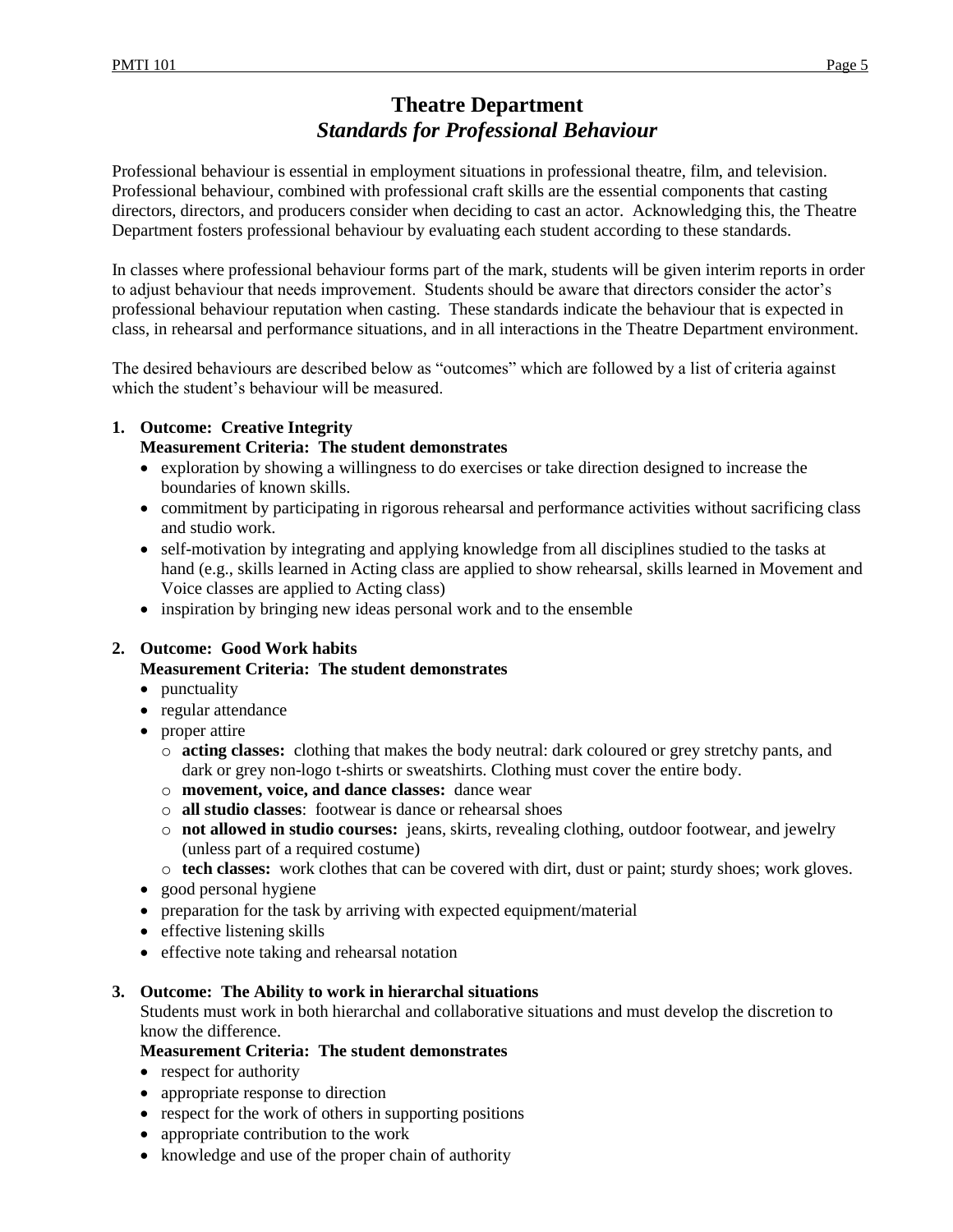# **Theatre Department** *Standards for Professional Behaviour*

Professional behaviour is essential in employment situations in professional theatre, film, and television. Professional behaviour, combined with professional craft skills are the essential components that casting directors, directors, and producers consider when deciding to cast an actor. Acknowledging this, the Theatre Department fosters professional behaviour by evaluating each student according to these standards.

In classes where professional behaviour forms part of the mark, students will be given interim reports in order to adjust behaviour that needs improvement. Students should be aware that directors consider the actor's professional behaviour reputation when casting. These standards indicate the behaviour that is expected in class, in rehearsal and performance situations, and in all interactions in the Theatre Department environment.

The desired behaviours are described below as "outcomes" which are followed by a list of criteria against which the student's behaviour will be measured.

## **1. Outcome: Creative Integrity Measurement Criteria: The student demonstrates**

- exploration by showing a willingness to do exercises or take direction designed to increase the boundaries of known skills.
- commitment by participating in rigorous rehearsal and performance activities without sacrificing class and studio work.
- self-motivation by integrating and applying knowledge from all disciplines studied to the tasks at hand (e.g., skills learned in Acting class are applied to show rehearsal, skills learned in Movement and Voice classes are applied to Acting class)
- inspiration by bringing new ideas personal work and to the ensemble

## **2. Outcome: Good Work habits**

#### **Measurement Criteria: The student demonstrates**

- punctuality
- regular attendance
- proper attire
	- o **acting classes:** clothing that makes the body neutral: dark coloured or grey stretchy pants, and dark or grey non-logo t-shirts or sweatshirts. Clothing must cover the entire body.
	- o **movement, voice, and dance classes:** dance wear
	- o **all studio classes**: footwear is dance or rehearsal shoes
	- o **not allowed in studio courses:** jeans, skirts, revealing clothing, outdoor footwear, and jewelry (unless part of a required costume)
	- o **tech classes:** work clothes that can be covered with dirt, dust or paint; sturdy shoes; work gloves.
- good personal hygiene
- preparation for the task by arriving with expected equipment/material
- effective listening skills
- effective note taking and rehearsal notation

#### **3. Outcome: The Ability to work in hierarchal situations**

Students must work in both hierarchal and collaborative situations and must develop the discretion to know the difference.

## **Measurement Criteria: The student demonstrates**

- respect for authority
- appropriate response to direction
- respect for the work of others in supporting positions
- appropriate contribution to the work
- knowledge and use of the proper chain of authority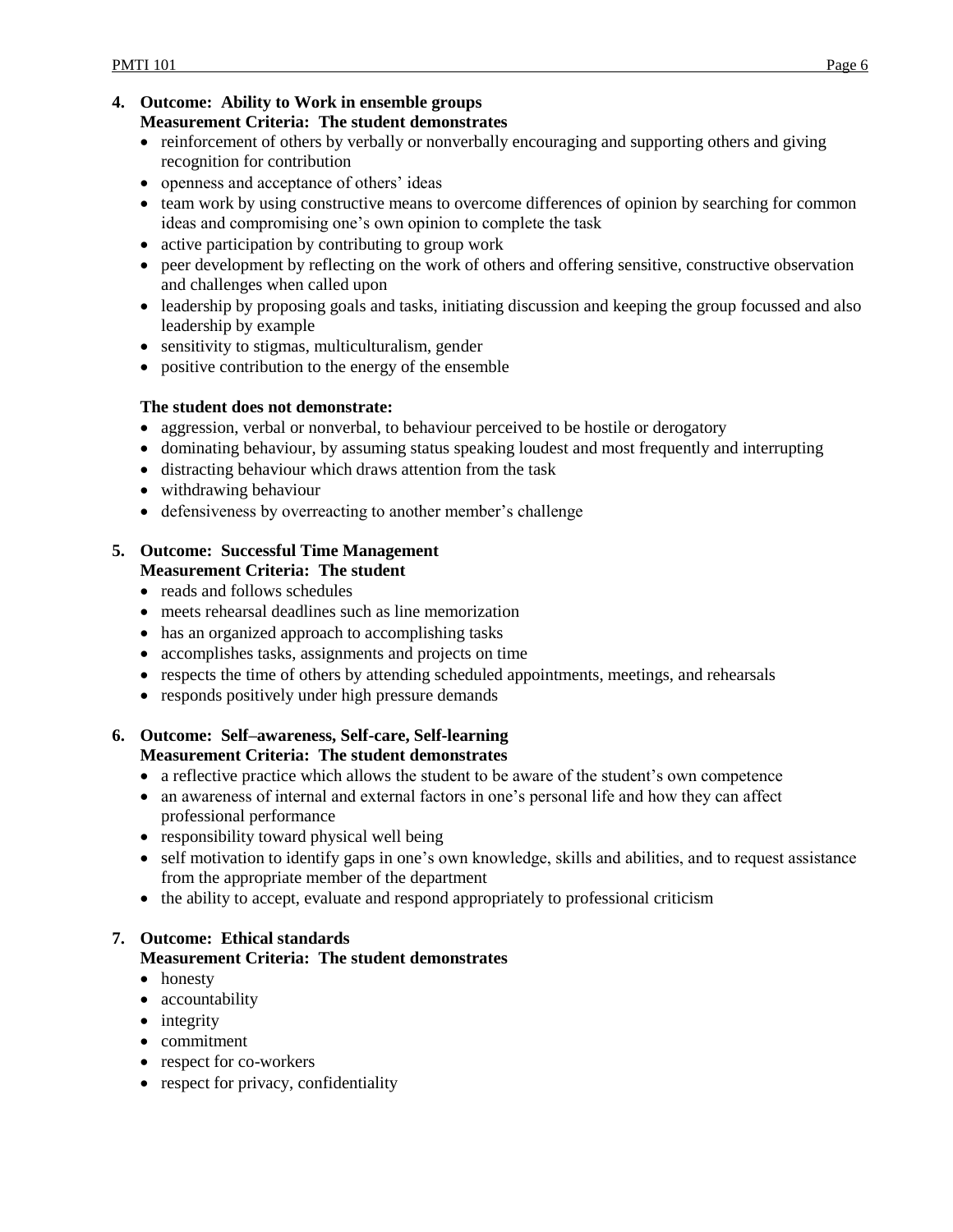#### **4. Outcome: Ability to Work in ensemble groups Measurement Criteria: The student demonstrates**

- reinforcement of others by verbally or nonverbally encouraging and supporting others and giving recognition for contribution
- openness and acceptance of others' ideas
- team work by using constructive means to overcome differences of opinion by searching for common ideas and compromising one's own opinion to complete the task
- active participation by contributing to group work
- peer development by reflecting on the work of others and offering sensitive, constructive observation and challenges when called upon
- leadership by proposing goals and tasks, initiating discussion and keeping the group focussed and also leadership by example
- sensitivity to stigmas, multiculturalism, gender
- positive contribution to the energy of the ensemble

#### **The student does not demonstrate:**

- aggression, verbal or nonverbal, to behaviour perceived to be hostile or derogatory
- dominating behaviour, by assuming status speaking loudest and most frequently and interrupting
- distracting behaviour which draws attention from the task
- withdrawing behaviour
- defensiveness by overreacting to another member's challenge

#### **5. Outcome: Successful Time Management Measurement Criteria: The student**

- reads and follows schedules
- meets rehearsal deadlines such as line memorization
- has an organized approach to accomplishing tasks
- accomplishes tasks, assignments and projects on time
- respects the time of others by attending scheduled appointments, meetings, and rehearsals
- responds positively under high pressure demands

## **6. Outcome: Self–awareness, Self-care, Self-learning Measurement Criteria: The student demonstrates**

- a reflective practice which allows the student to be aware of the student's own competence
- an awareness of internal and external factors in one's personal life and how they can affect professional performance
- responsibility toward physical well being
- self motivation to identify gaps in one's own knowledge, skills and abilities, and to request assistance from the appropriate member of the department
- the ability to accept, evaluate and respond appropriately to professional criticism

#### **7. Outcome: Ethical standards Measurement Criteria: The student demonstrates**

- honesty
- accountability
- integrity
- commitment
- respect for co-workers
- respect for privacy, confidentiality